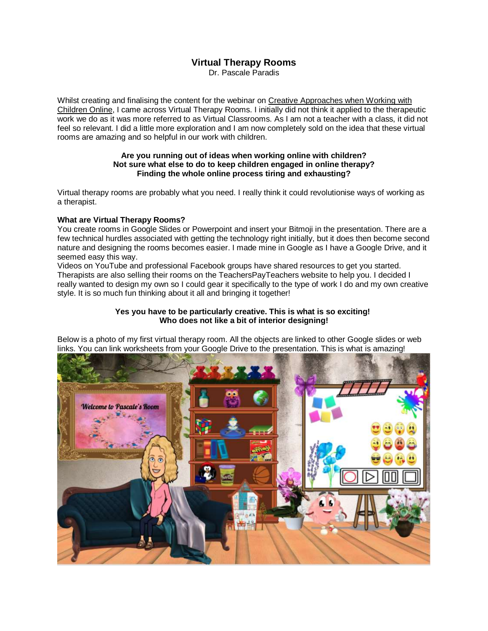# **Virtual Therapy Rooms**

Dr. Pascale Paradis

Whilst creating and finalising the content for the webinar on [Creative Approaches when Working with](https://learning.3ppsychologies.com/courses/creative-approaches-for-working-online-with-children)  [Children Online,](https://learning.3ppsychologies.com/courses/creative-approaches-for-working-online-with-children) I came across Virtual Therapy Rooms. I initially did not think it applied to the therapeutic work we do as it was more referred to as Virtual Classrooms. As I am not a teacher with a class, it did not feel so relevant. I did a little more exploration and I am now completely sold on the idea that these virtual rooms are amazing and so helpful in our work with children.

#### **Are you running out of ideas when working online with children? Not sure what else to do to keep children engaged in online therapy? Finding the whole online process tiring and exhausting?**

Virtual therapy rooms are probably what you need. I really think it could revolutionise ways of working as a therapist.

## **What are Virtual Therapy Rooms?**

You create rooms in Google Slides or Powerpoint and insert your Bitmoji in the presentation. There are a few technical hurdles associated with getting the technology right initially, but it does then become second nature and designing the rooms becomes easier. I made mine in Google as I have a Google Drive, and it seemed easy this way.

Videos on YouTube and professional Facebook groups have shared resources to get you started. Therapists are also selling their rooms on the TeachersPayTeachers website to help you. I decided I really wanted to design my own so I could gear it specifically to the type of work I do and my own creative style. It is so much fun thinking about it all and bringing it together!

### **Yes you have to be particularly creative. This is what is so exciting! Who does not like a bit of interior designing!**

Below is a photo of my first virtual therapy room. All the objects are linked to other Google slides or web links. You can link worksheets from your Google Drive to the presentation. This is what is amazing!

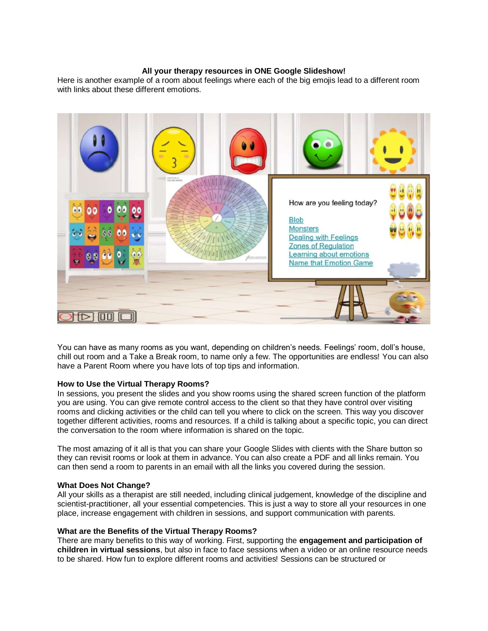### **All your therapy resources in ONE Google Slideshow!**

Here is another example of a room about feelings where each of the big emojis lead to a different room with links about these different emotions.



You can have as many rooms as you want, depending on children's needs. Feelings' room, doll's house, chill out room and a Take a Break room, to name only a few. The opportunities are endless! You can also have a Parent Room where you have lots of top tips and information.

### **How to Use the Virtual Therapy Rooms?**

In sessions, you present the slides and you show rooms using the shared screen function of the platform you are using. You can give remote control access to the client so that they have control over visiting rooms and clicking activities or the child can tell you where to click on the screen. This way you discover together different activities, rooms and resources. If a child is talking about a specific topic, you can direct the conversation to the room where information is shared on the topic.

The most amazing of it all is that you can share your Google Slides with clients with the Share button so they can revisit rooms or look at them in advance. You can also create a PDF and all links remain. You can then send a room to parents in an email with all the links you covered during the session.

### **What Does Not Change?**

All your skills as a therapist are still needed, including clinical judgement, knowledge of the discipline and scientist-practitioner, all your essential competencies. This is just a way to store all your resources in one place, increase engagement with children in sessions, and support communication with parents.

### **What are the Benefits of the Virtual Therapy Rooms?**

There are many benefits to this way of working. First, supporting the **engagement and participation of children in virtual sessions**, but also in face to face sessions when a video or an online resource needs to be shared. How fun to explore different rooms and activities! Sessions can be structured or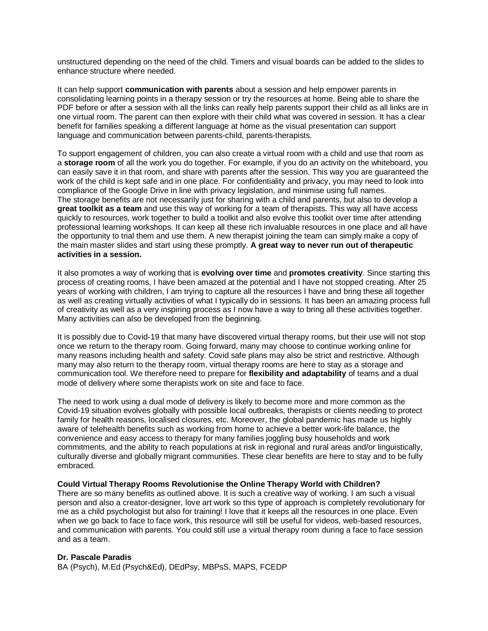unstructured depending on the need of the child. Timers and visual boards can be added to the slides to enhance structure where needed.

It can help support **communication with parents** about a session and help empower parents in consolidating learning points in a therapy session or try the resources at home. Being able to share the PDF before or after a session with all the links can really help parents support their child as all links are in one virtual room. The parent can then explore with their child what was covered in session. It has a clear benefit for families speaking a different language at home as the visual presentation can support language and communication between parents-child, parents-therapists.

To support engagement of children, you can also create a virtual room with a child and use that room as a **storage room** of all the work you do together. For example, if you do an activity on the whiteboard, you can easily save it in that room, and share with parents after the session. This way you are guaranteed the work of the child is kept safe and in one place. For confidentiality and privacy, you may need to look into compliance of the Google Drive in line with privacy legislation, and minimise using full names. The storage benefits are not necessarily just for sharing with a child and parents, but also to develop a **great toolkit as a team** and use this way of working for a team of therapists. This way all have access quickly to resources, work together to build a toolkit and also evolve this toolkit over time after attending professional learning workshops. It can keep all these rich invaluable resources in one place and all have the opportunity to trial them and use them. A new therapist joining the team can simply make a copy of the main master slides and start using these promptly. **A great way to never run out of therapeutic activities in a session.**

It also promotes a way of working that is **evolving over time** and **promotes creativity**. Since starting this process of creating rooms, I have been amazed at the potential and I have not stopped creating. After 25 years of working with children, I am trying to capture all the resources I have and bring these all together as well as creating virtually activities of what I typically do in sessions. It has been an amazing process full of creativity as well as a very inspiring process as I now have a way to bring all these activities together. Many activities can also be developed from the beginning.

It is possibly due to Covid-19 that many have discovered virtual therapy rooms, but their use will not stop once we return to the therapy room. Going forward, many may choose to continue working online for many reasons including health and safety. Covid safe plans may also be strict and restrictive. Although many may also return to the therapy room, virtual therapy rooms are here to stay as a storage and communication tool. We therefore need to prepare for **flexibility and adaptability** of teams and a dual mode of delivery where some therapists work on site and face to face.

The need to work using a dual mode of delivery is likely to become more and more common as the Covid-19 situation evolves globally with possible local outbreaks, therapists or clients needing to protect family for health reasons, localised closures, etc. Moreover, the global pandemic has made us highly aware of telehealth benefits such as working from home to achieve a better work-life balance, the convenience and easy access to therapy for many families joggling busy households and work commitments, and the ability to reach populations at risk in regional and rural areas and/or linguistically, culturally diverse and globally migrant communities. These clear benefits are here to stay and to be fully embraced.

#### **Could Virtual Therapy Rooms Revolutionise the Online Therapy World with Children?**

There are so many benefits as outlined above. It is such a creative way of working. I am such a visual person and also a creator-designer, love art work so this type of approach is completely revolutionary for me as a child psychologist but also for training! I love that it keeps all the resources in one place. Even when we go back to face to face work, this resource will still be useful for videos, web-based resources, and communication with parents. You could still use a virtual therapy room during a face to face session and as a team.

#### **Dr. Pascale Paradis**

BA (Psych), M.Ed (Psych&Ed), DEdPsy, MBPsS, MAPS, FCEDP